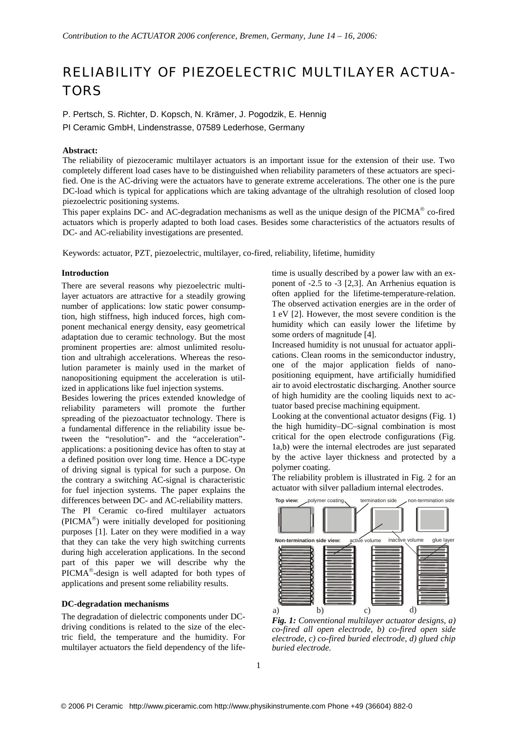# RELIABILITY OF PIEZOELECTRIC MULTILAYER ACTUA-**TORS**

P. Pertsch, S. Richter, D. Kopsch, N. Krämer, J. Pogodzik, E. Hennig

PI Ceramic GmbH, Lindenstrasse, 07589 Lederhose, Germany

## **Abstract:**

The reliability of piezoceramic multilayer actuators is an important issue for the extension of their use. Two completely different load cases have to be distinguished when reliability parameters of these actuators are specified. One is the AC-driving were the actuators have to generate extreme accelerations. The other one is the pure DC-load which is typical for applications which are taking advantage of the ultrahigh resolution of closed loop piezoelectric positioning systems.

This paper explains DC- and AC-degradation mechanisms as well as the unique design of the  $PICMA^{\circledcirc}$  co-fired actuators which is properly adapted to both load cases. Besides some characteristics of the actuators results of DC- and AC-reliability investigations are presented.

Keywords: actuator, PZT, piezoelectric, multilayer, co-fired, reliability, lifetime, humidity

#### **Introduction**

There are several reasons why piezoelectric multilayer actuators are attractive for a steadily growing number of applications: low static power consumption, high stiffness, high induced forces, high component mechanical energy density, easy geometrical adaptation due to ceramic technology. But the most prominent properties are: almost unlimited resolution and ultrahigh accelerations. Whereas the resolution parameter is mainly used in the market of nanopositioning equipment the acceleration is utilized in applications like fuel injection systems.

Besides lowering the prices extended knowledge of reliability parameters will promote the further spreading of the piezoactuator technology. There is a fundamental difference in the reliability issue between the "resolution"- and the "acceleration" applications: a positioning device has often to stay at a defined position over long time. Hence a DC-type of driving signal is typical for such a purpose. On the contrary a switching AC-signal is characteristic for fuel injection systems. The paper explains the differences between DC- and AC-reliability matters. The PI Ceramic co-fired multilayer actuators ( $\text{PICMA}^{\circledR}$ ) were initially developed for positioning purposes [1]. Later on they were modified in a way that they can take the very high switching currents during high acceleration applications. In the second part of this paper we will describe why the PICMA<sup>®</sup>-design is well adapted for both types of applications and present some reliability results.

## **DC-degradation mechanisms**

The degradation of dielectric components under DCdriving conditions is related to the size of the electric field, the temperature and the humidity. For multilayer actuators the field dependency of the life-

time is usually described by a power law with an exponent of -2.5 to -3 [2,3]. An Arrhenius equation is often applied for the lifetime-temperature-relation. The observed activation energies are in the order of 1 eV [2]. However, the most severe condition is the humidity which can easily lower the lifetime by some orders of magnitude [4].

Increased humidity is not unusual for actuator applications. Clean rooms in the semiconductor industry, one of the major application fields of nanopositioning equipment, have artificially humidified air to avoid electrostatic discharging. Another source of high humidity are the cooling liquids next to actuator based precise machining equipment.

Looking at the conventional actuator designs (Fig. 1) the high humidity–DC–signal combination is most critical for the open electrode configurations (Fig. 1a,b) were the internal electrodes are just separated by the active layer thickness and protected by a polymer coating.

The reliability problem is illustrated in Fig. 2 for an actuator with silver palladium internal electrodes.



*Fig. 1: Conventional multilayer actuator designs, a) co-fired all open electrode, b) co-fired open side electrode, c) co-fired buried electrode, d) glued chip buried electrode.*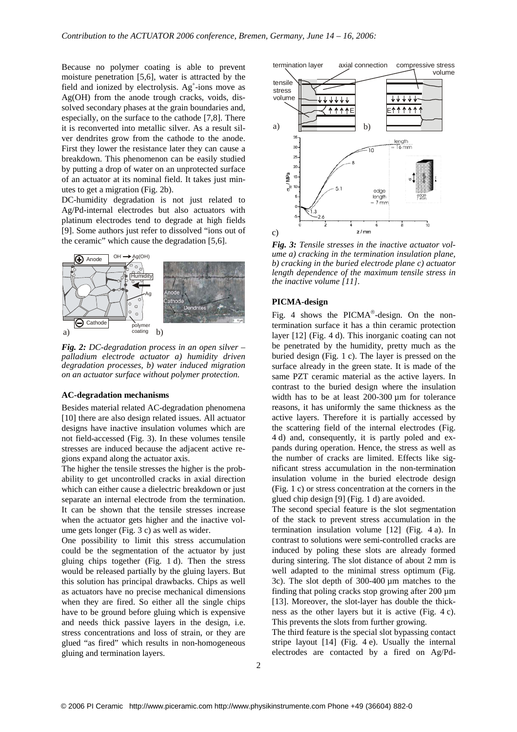Because no polymer coating is able to prevent moisture penetration [5,6], water is attracted by the field and ionized by electrolysis. Ag<sup>+</sup>-ions move as Ag(OH) from the anode trough cracks, voids, dissolved secondary phases at the grain boundaries and, especially, on the surface to the cathode [7,8]. There it is reconverted into metallic silver. As a result silver dendrites grow from the cathode to the anode. First they lower the resistance later they can cause a breakdown. This phenomenon can be easily studied by putting a drop of water on an unprotected surface of an actuator at its nominal field. It takes just minutes to get a migration (Fig. 2b).

DC-humidity degradation is not just related to Ag/Pd-internal electrodes but also actuators with platinum electrodes tend to degrade at high fields [9]. Some authors just refer to dissolved "ions out of the ceramic" which cause the degradation [5,6].



*Fig. 2: DC-degradation process in an open silver – palladium electrode actuator a) humidity driven degradation processes, b) water induced migration on an actuator surface without polymer protection.*

#### **AC-degradation mechanisms**

Besides material related AC-degradation phenomena [10] there are also design related issues. All actuator designs have inactive insulation volumes which are not field-accessed (Fig. 3). In these volumes tensile stresses are induced because the adjacent active regions expand along the actuator axis.

The higher the tensile stresses the higher is the probability to get uncontrolled cracks in axial direction which can either cause a dielectric breakdown or just separate an internal electrode from the termination. It can be shown that the tensile stresses increase when the actuator gets higher and the inactive volume gets longer (Fig. 3 c) as well as wider.

One possibility to limit this stress accumulation could be the segmentation of the actuator by just gluing chips together (Fig. 1 d). Then the stress would be released partially by the gluing layers. But this solution has principal drawbacks. Chips as well as actuators have no precise mechanical dimensions when they are fired. So either all the single chips have to be ground before gluing which is expensive and needs thick passive layers in the design, i.e. stress concentrations and loss of strain, or they are glued "as fired" which results in non-homogeneous gluing and termination layers.



*Fig. 3: Tensile stresses in the inactive actuator volume a) cracking in the termination insulation plane, b) cracking in the buried electrode plane c) actuator length dependence of the maximum tensile stress in the inactive volume [11].*

#### **PICMA-design**

Fig. 4 shows the PICMA $^{\circ}$ -design. On the nontermination surface it has a thin ceramic protection layer [12] (Fig. 4 d). This inorganic coating can not be penetrated by the humidity, pretty much as the buried design (Fig. 1 c). The layer is pressed on the surface already in the green state. It is made of the same PZT ceramic material as the active layers. In contrast to the buried design where the insulation width has to be at least 200-300  $\mu$ m for tolerance reasons, it has uniformly the same thickness as the active layers. Therefore it is partially accessed by the scattering field of the internal electrodes (Fig. 4 d) and, consequently, it is partly poled and expands during operation. Hence, the stress as well as the number of cracks are limited. Effects like significant stress accumulation in the non-termination insulation volume in the buried electrode design (Fig. 1 c) or stress concentration at the corners in the glued chip design [9] (Fig. 1 d) are avoided.

The second special feature is the slot segmentation of the stack to prevent stress accumulation in the termination insulation volume [12] (Fig. 4 a). In contrast to solutions were semi-controlled cracks are induced by poling these slots are already formed during sintering. The slot distance of about 2 mm is well adapted to the minimal stress optimum (Fig. 3c). The slot depth of 300-400 µm matches to the finding that poling cracks stop growing after 200 µm [13]. Moreover, the slot-layer has double the thickness as the other layers but it is active (Fig. 4 c). This prevents the slots from further growing.

The third feature is the special slot bypassing contact stripe layout [14] (Fig. 4 e). Usually the internal electrodes are contacted by a fired on Ag/Pd-